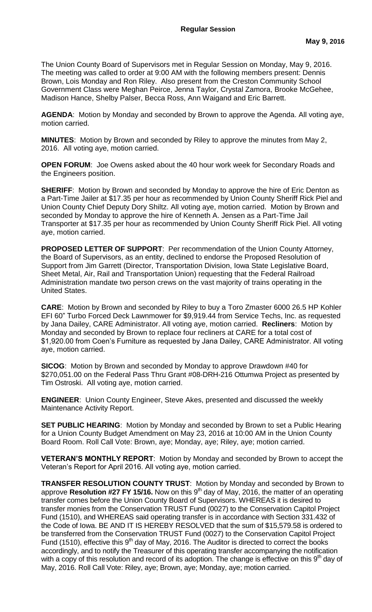The Union County Board of Supervisors met in Regular Session on Monday, May 9, 2016. The meeting was called to order at 9:00 AM with the following members present: Dennis Brown, Lois Monday and Ron Riley. Also present from the Creston Community School Government Class were Meghan Peirce, Jenna Taylor, Crystal Zamora, Brooke McGehee, Madison Hance, Shelby Palser, Becca Ross, Ann Waigand and Eric Barrett.

**AGENDA**: Motion by Monday and seconded by Brown to approve the Agenda. All voting aye, motion carried.

**MINUTES**: Motion by Brown and seconded by Riley to approve the minutes from May 2, 2016. All voting aye, motion carried.

**OPEN FORUM**: Joe Owens asked about the 40 hour work week for Secondary Roads and the Engineers position.

**SHERIFF:** Motion by Brown and seconded by Monday to approve the hire of Eric Denton as a Part-Time Jailer at \$17.35 per hour as recommended by Union County Sheriff Rick Piel and Union County Chief Deputy Dory Shiltz. All voting aye, motion carried. Motion by Brown and seconded by Monday to approve the hire of Kenneth A. Jensen as a Part-Time Jail Transporter at \$17.35 per hour as recommended by Union County Sheriff Rick Piel. All voting aye, motion carried.

**PROPOSED LETTER OF SUPPORT**: Per recommendation of the Union County Attorney, the Board of Supervisors, as an entity, declined to endorse the Proposed Resolution of Support from Jim Garrett (Director, Transportation Division, Iowa State Legislative Board, Sheet Metal, Air, Rail and Transportation Union) requesting that the Federal Railroad Administration mandate two person crews on the vast majority of trains operating in the United States.

**CARE**: Motion by Brown and seconded by Riley to buy a Toro Zmaster 6000 26.5 HP Kohler EFI 60" Turbo Forced Deck Lawnmower for \$9,919.44 from Service Techs, Inc. as requested by Jana Dailey, CARE Administrator. All voting aye, motion carried. **Recliners**: Motion by Monday and seconded by Brown to replace four recliners at CARE for a total cost of \$1,920.00 from Coen's Furniture as requested by Jana Dailey, CARE Administrator. All voting aye, motion carried.

**SICOG**: Motion by Brown and seconded by Monday to approve Drawdown #40 for \$270,051.00 on the Federal Pass Thru Grant #08-DRH-216 Ottumwa Project as presented by Tim Ostroski. All voting aye, motion carried.

**ENGINEER**: Union County Engineer, Steve Akes, presented and discussed the weekly Maintenance Activity Report.

**SET PUBLIC HEARING:** Motion by Monday and seconded by Brown to set a Public Hearing for a Union County Budget Amendment on May 23, 2016 at 10:00 AM in the Union County Board Room. Roll Call Vote: Brown, aye; Monday, aye; Riley, aye; motion carried.

**VETERAN'S MONTHLY REPORT**: Motion by Monday and seconded by Brown to accept the Veteran's Report for April 2016. All voting aye, motion carried.

**TRANSFER RESOLUTION COUNTY TRUST**: Motion by Monday and seconded by Brown to approve **Resolution #27 FY 15/16.** Now on this 9<sup>th</sup> day of May, 2016, the matter of an operating transfer comes before the Union County Board of Supervisors. WHEREAS it is desired to transfer monies from the Conservation TRUST Fund (0027) to the Conservation Capitol Project Fund (1510), and WHEREAS said operating transfer is in accordance with Section 331.432 of the Code of Iowa. BE AND IT IS HEREBY RESOLVED that the sum of \$15,579.58 is ordered to be transferred from the Conservation TRUST Fund (0027) to the Conservation Capitol Project Fund (1510), effective this 9<sup>th</sup> day of May, 2016. The Auditor is directed to correct the books accordingly, and to notify the Treasurer of this operating transfer accompanying the notification with a copy of this resolution and record of its adoption. The change is effective on this  $9<sup>th</sup>$  day of May, 2016. Roll Call Vote: Riley, aye; Brown, aye; Monday, aye; motion carried.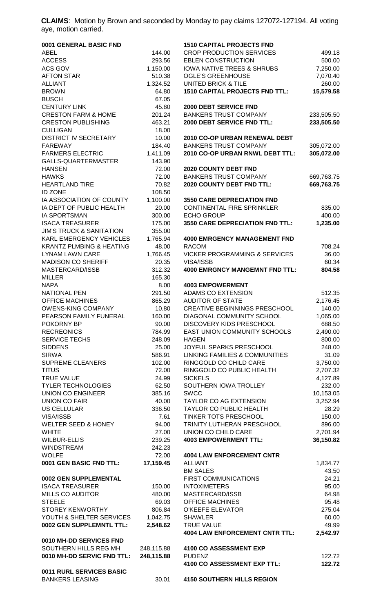**CLAIMS**: Motion by Brown and seconded by Monday to pay claims 127072-127194. All voting aye, motion carried.

| 0001 GENERAL BASIC FND              |                 | <b>1510 CAPITAL PROJECTS FND</b>         |                  |
|-------------------------------------|-----------------|------------------------------------------|------------------|
| <b>ABEL</b>                         | 144.00          | <b>CROP PRODUCTION SERVICES</b>          | 499.18           |
| <b>ACCESS</b>                       | 293.56          | <b>EBLEN CONSTRUCTION</b>                | 500.00           |
| ACS GOV                             | 1,150.00        | <b>IOWA NATIVE TREES &amp; SHRUBS</b>    | 7,250.00         |
| <b>AFTON STAR</b>                   | 510.38          | <b>OGLE'S GREENHOUSE</b>                 | 7,070.40         |
| <b>ALLIANT</b>                      | 1,324.52        | UNITED BRICK & TILE                      | 260.00           |
| <b>BROWN</b>                        | 64.80           | <b>1510 CAPITAL PROJECTS FND TTL:</b>    | 15,579.58        |
| <b>BUSCH</b>                        | 67.05           |                                          |                  |
| <b>CENTURY LINK</b>                 | 45.80           | 2000 DEBT SERVICE FND                    |                  |
| <b>CRESTON FARM &amp; HOME</b>      | 201.24          | <b>BANKERS TRUST COMPANY</b>             | 233,505.50       |
| <b>CRESTON PUBLISHING</b>           | 463.21          | 2000 DEBT SERVICE FND TTL:               | 233,505.50       |
| <b>CULLIGAN</b>                     | 18.00           |                                          |                  |
| <b>DISTRICT IV SECRETARY</b>        | 10.00           | 2010 CO-OP URBAN RENEWAL DEBT            |                  |
| <b>FAREWAY</b>                      | 184.40          | <b>BANKERS TRUST COMPANY</b>             | 305,072.00       |
| <b>FARMERS ELECTRIC</b>             | 1,411.09        | 2010 CO-OP URBAN RNWL DEBT TTL:          | 305,072.00       |
| GALLS-QUARTERMASTER                 | 143.90          |                                          |                  |
| <b>HANSEN</b>                       | 72.00           | <b>2020 COUNTY DEBT FND</b>              |                  |
| <b>HAWKS</b>                        | 72.00           | <b>BANKERS TRUST COMPANY</b>             | 669,763.75       |
| <b>HEARTLAND TIRE</b>               | 70.82           | 2020 COUNTY DEBT FND TTL:                | 669,763.75       |
| <b>ID ZONE</b>                      | 108.50          |                                          |                  |
| IA ASSOCIATION OF COUNTY            | 1,100.00        | <b>3550 CARE DEPRECIATION FND</b>        |                  |
| IA DEPT OF PUBLIC HEALTH            | 20.00           | CONTINENTAL FIRE SPRINKLER               | 835.00           |
| <b>IA SPORTSMAN</b>                 | 300.00          | <b>ECHO GROUP</b>                        | 400.00           |
| <b>ISACA TREASURER</b>              | 175.00          | 3550 CARE DEPRECIATION FND TTL:          | 1,235.00         |
| <b>JIM'S TRUCK &amp; SANITATION</b> | 355.00          |                                          |                  |
| KARL EMERGENCY VEHICLES             | 1,765.94        | <b>4000 EMRGENCY MANAGEMENT FND</b>      |                  |
| <b>KRANTZ PLMBING &amp; HEATING</b> | 48.00           | <b>RACOM</b>                             | 708.24           |
| <b>LYNAM LAWN CARE</b>              | 1,766.45        | <b>VICKER PROGRAMMING &amp; SERVICES</b> | 36.00            |
| <b>MADISON CO SHERIFF</b>           | 20.35           | VISA/ISSB                                | 60.34            |
| MASTERCARD/ISSB                     | 312.32          | <b>4000 EMRGNCY MANGEMNT FND TTL:</b>    | 804.58           |
| <b>MILLER</b>                       | 165.30          |                                          |                  |
| <b>NAPA</b>                         | 8.00            | <b>4003 EMPOWERMENT</b>                  |                  |
| <b>NATIONAL PEN</b>                 | 291.50          | <b>ADAMS CO EXTENSION</b>                | 512.35           |
| <b>OFFICE MACHINES</b>              | 865.29          | <b>AUDITOR OF STATE</b>                  | 2,176.45         |
| <b>OWENS-KING COMPANY</b>           | 10.80           | <b>CREATIVE BEGINNINGS PRESCHOOL</b>     | 140.00           |
| PEARSON FAMILY FUNERAL              | 160.00          | DIAGONAL COMMUNITY SCHOOL                | 1,065.00         |
| POKORNY BP                          | 90.00           | <b>DISCOVERY KIDS PRESCHOOL</b>          | 688.50           |
| <b>RECREONICS</b>                   | 784.99          | EAST UNION COMMUNITY SCHOOLS             | 2,490.00         |
| SERVICE TECHS<br><b>SIDDENS</b>     | 248.09<br>25.00 | <b>HAGEN</b><br>JOYFUL SPARKS PRESCHOOL  | 800.00<br>248.00 |
| <b>SIRWA</b>                        | 586.91          | LINKING FAMILIES & COMMUNITIES           | 31.09            |
| <b>SUPREME CLEANERS</b>             | 102.00          | RINGGOLD CO CHILD CARE                   | 3,750.00         |
| <b>TITUS</b>                        | 72.00           | RINGGOLD CO PUBLIC HEALTH                | 2,707.32         |
| <b>TRUE VALUE</b>                   | 24.99           | <b>SICKELS</b>                           | 4,127.89         |
| <b>TYLER TECHNOLOGIES</b>           | 62.50           | SOUTHERN IOWA TROLLEY                    | 232.00           |
| <b>UNION CO ENGINEER</b>            | 385.16          | <b>SWCC</b>                              | 10,153.05        |
| <b>UNION CO FAIR</b>                | 40.00           | TAYLOR CO AG EXTENSION                   | 3,252.94         |
| <b>US CELLULAR</b>                  | 336.50          | TAYLOR CO PUBLIC HEALTH                  | 28.29            |
| VISA/ISSB                           | 7.61            | TINKER TOTS PRESCHOOL                    | 150.00           |
| <b>WELTER SEED &amp; HONEY</b>      | 94.00           | TRINITY LUTHERAN PRESCHOOL               | 896.00           |
| <b>WHITE</b>                        | 27.00           | UNION CO CHILD CARE                      | 2,701.94         |
| <b>WILBUR-ELLIS</b>                 | 239.25          | <b>4003 EMPOWERMENT TTL:</b>             | 36,150.82        |
| <b>WINDSTREAM</b>                   | 242.23          |                                          |                  |
| <b>WOLFE</b>                        | 72.00           | <b>4004 LAW ENFORCEMENT CNTR</b>         |                  |
| 0001 GEN BASIC FND TTL:             | 17,159.45       | <b>ALLIANT</b>                           | 1,834.77         |
|                                     |                 | <b>BM SALES</b>                          | 43.50            |
| 0002 GEN SUPPLEMENTAL               |                 | FIRST COMMUNICATIONS                     | 24.21            |
| <b>ISACA TREASURER</b>              | 150.00          | <b>INTOXIMETERS</b>                      | 95.00            |
| <b>MILLS CO AUDITOR</b>             | 480.00          | MASTERCARD/ISSB                          | 64.98            |
| <b>STEELE</b>                       | 69.03           | <b>OFFICE MACHINES</b>                   | 95.48            |
| <b>STOREY KENWORTHY</b>             | 806.84          | <b>O'KEEFE ELEVATOR</b>                  | 275.04           |
| YOUTH & SHELTER SERVICES            | 1,042.75        | <b>SHAWLER</b>                           | 60.00            |
| 0002 GEN SUPPLEMNTL TTL:            | 2,548.62        | <b>TRUE VALUE</b>                        | 49.99            |
|                                     |                 | <b>4004 LAW ENFORCEMENT CNTR TTL:</b>    | 2,542.97         |
| 0010 MH-DD SERVICES FND             |                 |                                          |                  |
| SOUTHERN HILLS REG MH               | 248,115.88      | 4100 CO ASSESSMENT EXP                   |                  |
| 0010 MH-DD SERVIC FND TTL:          | 248,115.88      | <b>PUDENZ</b>                            | 122.72           |
|                                     |                 | 4100 CO ASSESSMENT EXP TTL:              | 122.72           |
| 0011 RURL SERVICES BASIC            |                 |                                          |                  |
| <b>BANKERS LEASING</b>              | 30.01           | <b>4150 SOUTHERN HILLS REGION</b>        |                  |
|                                     |                 |                                          |                  |